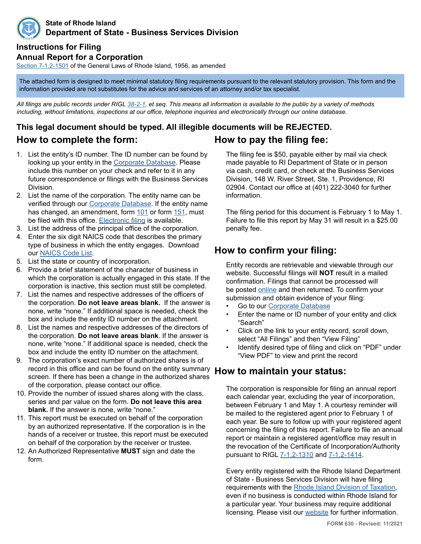

### **State of Rhode Island Department of State - Business Services Division**

### **Instructions for Filing Annual Report for a Corporation**

[Section 7-1](http://webserver.rilin.state.ri.us/Statutes/TITLE7/7-1.2/7-1.2-1501.HTM).2-1501 of the General Laws of Rhode Island, 1956, as amended

The attached form is designed to meet minimal statutory filing requirements pursuant to the relevant statutory provision. This form and the information provided are not substitutes for the advice and services of an attorney and/or tax specialist.

*All filings are public records under RIGL [38-2-1](http://webserver.rilin.state.ri.us/Statutes/TITLE38/38-2/38-2-1.HTM), et seq. This means all information is available to the public by a variety of methods including, without limitations, inspections at our office, telephone inquiries and electronically through our online database.*

## **This legal document should be typed. All illegible documents will be REJECTED.**

## **How to complete the form:**

- 1. List the entity's ID number. The ID number can be found by looking up your entity in the [Corporate Database.](http://business.sos.ri.gov/corpweb/corpsearch/corpsearch.aspx) Please include this number on your check and refer to it in any future correspondence or filings with the Business Services Division.
- 2. List the name of the corporation. The entity name can be verified through our [Corporate Database](http://business.sos.ri.gov/corpweb/corpsearch/corpsearch.aspx). If the entity name has changed, an amendment, form [101](http://sos.ri.gov/assets/downloads/documents/101-articles-of-amendment-to-the-articles-of-incorporation.pdf) or form [151](http://sos.ri.gov/assets/downloads/documents/151-amended-certificate-of-authority.pdf), must be filed with this office. [Electronic filing](http://sos.ri.gov/divisions/Business-Portal/file-online) is available.
- 3. List the address of the principal office of the corporation.
- 4. Enter the six digit NAICS code that describes the primary type of business in which the entity engages. Download our [NAICS Code List](http://sos.ri.gov/assets/downloads/documents/NAICS-Official-List.pdf).
- 5. List the state or country of incorporation.
- 6. Provide a brief statement of the character of business in which the corporation is actually engaged in this state. If the corporation is inactive, this section must still be completed.
- 7. List the names and respective addresses of the officers of the corporation. **Do not leave areas blank.** If the answer is none, write "none." If additional space is needed, check the box and include the entity ID number on the attachment.
- 8. List the names and respective addresses of the directors of the corporation. **Do not leave areas blank**. If the answer is none, write "none." If additional space is needed, check the box and include the entity ID number on the attachment.
- 9. The corporation's exact number of authorized shares is of record in this office and can be found on the entity summary screen. If there has been a change in the authorized shares of the corporation, please contact our office.
- 10. Provide the number of issued shares along with the class, series and par value on the form. **Do not leave this area blank.** If the answer is none, write "none."
- 11. This report must be executed on behalf of the corporation by an authorized representative. If the corporation is in the hands of a receiver or trustee, this report must be executed on behalf of the corporation by the receiver or trustee.
- 12. An Authorized Representative **MUST** sign and date the form.

# **How to pay the filing fee:**

The filing fee is \$50, payable either by mail via check made payable to RI Department of State or in person via cash, credit card, or check at the Business Services Division, 148 W. River Street, Ste. 1, Providence, RI 02904. Contact our office at (401) 222-3040 for further information.

The filing period for this document is February 1 to May 1. Failure to file this report by May 31 will result in a \$25.00 penalty fee.

## **How to confirm your filing:**

Entity records are retrievable and viewable through our website. Successful filings will **NOT** result in a mailed confirmation. Filings that cannot be processed will be posted [online](http://business.sos.ri.gov/corpreject/corprejectionslist.asp) and then returned. To confirm your submission and obtain evidence of your filing:

- Go to our [Corporate Database](http://business.sos.ri.gov/corpweb/corpsearch/corpsearch.aspx)
- Enter the name or ID number of your entity and click "Search"
- Click on the link to your entity record, scroll down, select "All Filings" and then "View Filing"
- Identify desired type of filing and click on "PDF" under "View PDF" to view and print the record

## **How to maintain your status:**

The corporation is responsible for filing an annual report each calendar year, excluding the year of incorporation, between February 1 and May 1. A courtesy reminder will be mailed to the registered agent prior to February 1 of each year. Be sure to follow up with your registered agent concerning the filing of this report. Failure to file an annual report or maintain a registered agent/office may result in the revocation of the Certificate of Incorporation/Authority pursuant to RIGL [7-1.2-1310](http://webserver.rilin.state.ri.us/Statutes/TITLE7/7-1.2/7-1.2-1310.HTM) and [7-1.2-1414](http://webserver.rilin.state.ri.us/Statutes/TITLE7/7-1.2/7-1.2-1414.HTM).

Every entity registered with the Rhode Island Department of State - Business Services Division will have filing requirements with the [Rhode Island Division of Taxation](http://www.tax.ri.gov/), even if no business is conducted within Rhode Island for a particular year. Your business may require additional licensing. Please visit our [website](https://www.sos.ri.gov/divisions/business-services) for further information.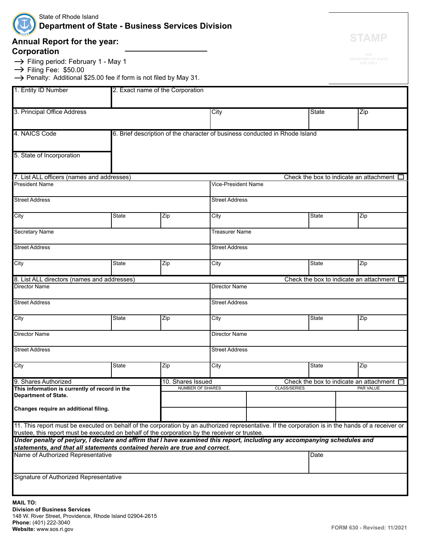

### **Annual Report for the year: Corporation**

- $\rightarrow$  Filing period: February 1 May 1
- $\rightarrow$  Filing Fee: \$50.00
- $\rightarrow$  Penalty: Additional \$25.00 fee if form is not filed by May 31.

| 1. Entity ID Number                                                                                                                                                                                     |                       | 2. Exact name of the Corporation |                                                                             |                       |              |                                                   |  |
|---------------------------------------------------------------------------------------------------------------------------------------------------------------------------------------------------------|-----------------------|----------------------------------|-----------------------------------------------------------------------------|-----------------------|--------------|---------------------------------------------------|--|
| 3. Principal Office Address                                                                                                                                                                             |                       |                                  | City                                                                        |                       | <b>State</b> | Zip                                               |  |
| 4. NAICS Code                                                                                                                                                                                           |                       |                                  | 6. Brief description of the character of business conducted in Rhode Island |                       |              |                                                   |  |
| 5. State of Incorporation                                                                                                                                                                               |                       |                                  |                                                                             |                       |              |                                                   |  |
| 7. List ALL officers (names and addresses)                                                                                                                                                              |                       |                                  |                                                                             |                       |              | Check the box to indicate an attachment $\Box$    |  |
| <b>President Name</b>                                                                                                                                                                                   |                       |                                  |                                                                             | Vice-President Name   |              |                                                   |  |
| <b>Street Address</b>                                                                                                                                                                                   |                       |                                  |                                                                             | <b>Street Address</b> |              |                                                   |  |
|                                                                                                                                                                                                         |                       |                                  |                                                                             |                       |              |                                                   |  |
| City                                                                                                                                                                                                    | <b>State</b>          | Zip                              | City                                                                        |                       | <b>State</b> | Zip                                               |  |
| <b>Secretary Name</b>                                                                                                                                                                                   |                       |                                  |                                                                             | <b>Treasurer Name</b> |              |                                                   |  |
| <b>Street Address</b>                                                                                                                                                                                   |                       |                                  | <b>Street Address</b>                                                       |                       |              |                                                   |  |
| City                                                                                                                                                                                                    | State                 | Zip                              | City                                                                        |                       | State        | Zip                                               |  |
| 8. List ALL directors (names and addresses)                                                                                                                                                             |                       |                                  |                                                                             |                       |              | Check the box to indicate an attachment $\square$ |  |
| <b>Director Name</b>                                                                                                                                                                                    |                       |                                  | <b>Director Name</b>                                                        |                       |              |                                                   |  |
| <b>Street Address</b>                                                                                                                                                                                   | <b>Street Address</b> |                                  |                                                                             |                       |              |                                                   |  |
| City                                                                                                                                                                                                    | <b>State</b>          | Zip                              | City                                                                        |                       | <b>State</b> | Zip                                               |  |
| <b>Director Name</b>                                                                                                                                                                                    |                       |                                  | Director Name                                                               |                       |              |                                                   |  |
| <b>Street Address</b>                                                                                                                                                                                   |                       |                                  | <b>Street Address</b>                                                       |                       |              |                                                   |  |
| City                                                                                                                                                                                                    | <b>State</b>          | Zip                              | City                                                                        |                       | <b>State</b> | Zip                                               |  |
| 9. Shares Authorized                                                                                                                                                                                    |                       | 10. Shares Issued                |                                                                             |                       |              | Check the box to indicate an attachment $\Box$    |  |
| This information is currently of record in the                                                                                                                                                          |                       |                                  | <b>NUMBER OF SHARES</b>                                                     | <b>CLASS/SERIES</b>   |              | PAR VALUE                                         |  |
| Department of State.                                                                                                                                                                                    |                       |                                  |                                                                             |                       |              |                                                   |  |
| Changes require an additional filing.                                                                                                                                                                   |                       |                                  |                                                                             |                       |              |                                                   |  |
| 11. This report must be executed on behalf of the corporation by an authorized representative. If the corporation is in the hands of a receiver or                                                      |                       |                                  |                                                                             |                       |              |                                                   |  |
| trustee, this report must be executed on behalf of the corporation by the receiver or trustee.                                                                                                          |                       |                                  |                                                                             |                       |              |                                                   |  |
| Under penalty of perjury, I declare and affirm that I have examined this report, including any accompanying schedules and<br>statements, and that all statements contained herein are true and correct. |                       |                                  |                                                                             |                       |              |                                                   |  |
| Name of Authorized Representative                                                                                                                                                                       |                       |                                  |                                                                             | Date                  |              |                                                   |  |
|                                                                                                                                                                                                         |                       |                                  |                                                                             |                       |              |                                                   |  |
| Signature of Authorized Representative                                                                                                                                                                  |                       |                                  |                                                                             |                       |              |                                                   |  |
|                                                                                                                                                                                                         |                       |                                  |                                                                             |                       |              |                                                   |  |